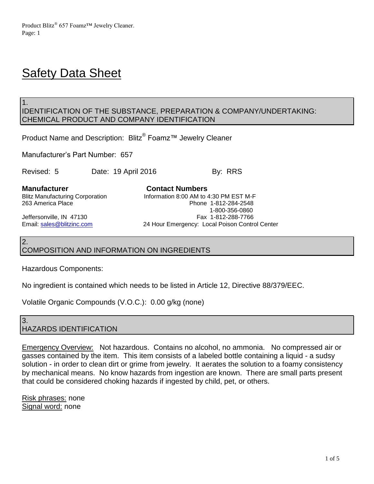# **Safety Data Sheet**

1.

2.

## IDENTIFICATION OF THE SUBSTANCE, PREPARATION & COMPANY/UNDERTAKING: CHEMICAL PRODUCT AND COMPANY IDENTIFICATION

Product Name and Description: Blitz® Foamz™ Jewelry Cleaner

Manufacturer's Part Number: 657

Revised: 5 Date: 19 April 2016 By: RRS

**Manufacturer Contact Numbers**<br>Blitz Manufacturing Corporation **Contact Numbers**<br>Information 8:00 AM to 4

Information 8:00 AM to  $4:30$  PM EST M-F 263 America Place Phone 1-812-284-2548 1-800-356-0860 Jeffersonville, IN 47130 Fax 1-812-288-7766 Email: [sales@blitzinc.com](mailto:sales@blitzinc.com) 24 Hour Emergency: Local Poison Control Center

# COMPOSITION AND INFORMATION ON INGREDIENTS

Hazardous Components:

No ingredient is contained which needs to be listed in Article 12, Directive 88/379/EEC.

Volatile Organic Compounds (V.O.C.): 0.00 g/kg (none)

## 3. HAZARDS IDENTIFICATION

Emergency Overview: Not hazardous. Contains no alcohol, no ammonia. No compressed air or gasses contained by the item. This item consists of a labeled bottle containing a liquid - a sudsy solution - in order to clean dirt or grime from jewelry. It aerates the solution to a foamy consistency by mechanical means. No know hazards from ingestion are known. There are small parts present that could be considered choking hazards if ingested by child, pet, or others.

Risk phrases: none Signal word: none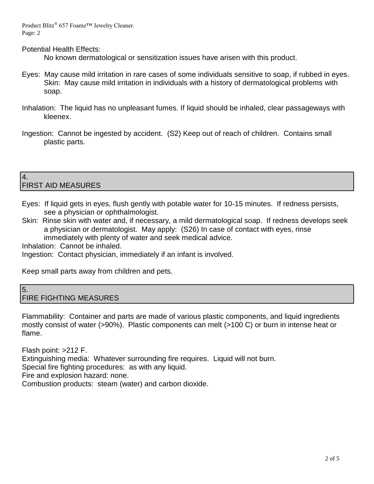Product Blitz® 657 Foamz™ Jewelry Cleaner. Page: 2

Potential Health Effects:

No known dermatological or sensitization issues have arisen with this product.

- Eyes: May cause mild irritation in rare cases of some individuals sensitive to soap, if rubbed in eyes. Skin: May cause mild irritation in individuals with a history of dermatological problems with soap.
- Inhalation: The liquid has no unpleasant fumes. If liquid should be inhaled, clear passageways with kleenex.
- Ingestion: Cannot be ingested by accident. (S2) Keep out of reach of children. Contains small plastic parts.

#### 4. FIRST AID MEASURES

- Eyes: If liquid gets in eyes, flush gently with potable water for 10-15 minutes. If redness persists, see a physician or ophthalmologist.
- Skin: Rinse skin with water and, if necessary, a mild dermatological soap. If redness develops seek a physician or dermatologist. May apply: (S26) In case of contact with eyes, rinse immediately with plenty of water and seek medical advice.

Inhalation: Cannot be inhaled.

Ingestion: Contact physician, immediately if an infant is involved.

Keep small parts away from children and pets.

#### 5. FIRE FIGHTING MEASURES

Flammability: Container and parts are made of various plastic components, and liquid ingredients mostly consist of water (>90%). Plastic components can melt (>100 C) or burn in intense heat or flame.

Flash point: >212 F. Extinguishing media: Whatever surrounding fire requires. Liquid will not burn. Special fire fighting procedures: as with any liquid. Fire and explosion hazard: none. Combustion products: steam (water) and carbon dioxide.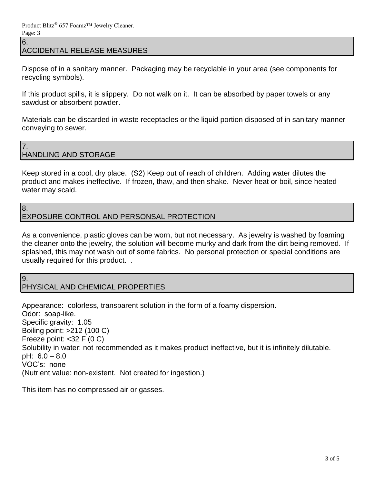ACCIDENTAL RELEASE MEASURES

Dispose of in a sanitary manner. Packaging may be recyclable in your area (see components for recycling symbols).

If this product spills, it is slippery. Do not walk on it. It can be absorbed by paper towels or any sawdust or absorbent powder.

Materials can be discarded in waste receptacles or the liquid portion disposed of in sanitary manner conveying to sewer.

7. HANDLING AND STORAGE

Keep stored in a cool, dry place. (S2) Keep out of reach of children. Adding water dilutes the product and makes ineffective. If frozen, thaw, and then shake. Never heat or boil, since heated water may scald.

8.

6.

## EXPOSURE CONTROL AND PERSONSAL PROTECTION

As a convenience, plastic gloves can be worn, but not necessary. As jewelry is washed by foaming the cleaner onto the jewelry, the solution will become murky and dark from the dirt being removed. If splashed, this may not wash out of some fabrics. No personal protection or special conditions are usually required for this product. .

9.

# PHYSICAL AND CHEMICAL PROPERTIES

Appearance: colorless, transparent solution in the form of a foamy dispersion. Odor: soap-like. Specific gravity: 1.05 Boiling point: >212 (100 C) Freeze point:  $<$ 32 F (0 C) Solubility in water: not recommended as it makes product ineffective, but it is infinitely dilutable. pH: 6.0 – 8.0 VOC's: none (Nutrient value: non-existent. Not created for ingestion.)

This item has no compressed air or gasses.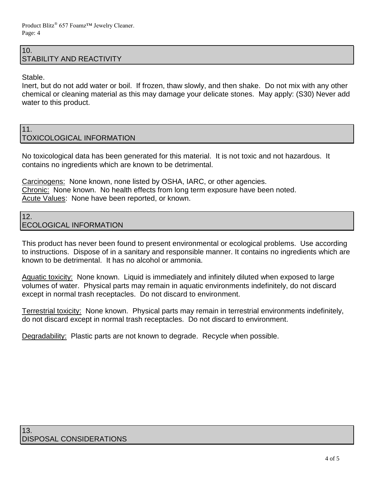## 10. STABILITY AND REACTIVITY

Stable.

Inert, but do not add water or boil. If frozen, thaw slowly, and then shake. Do not mix with any other chemical or cleaning material as this may damage your delicate stones. May apply: (S30) Never add water to this product.

#### 11. TOXICOLOGICAL INFORMATION

No toxicological data has been generated for this material. It is not toxic and not hazardous. It contains no ingredients which are known to be detrimental.

Carcinogens: None known, none listed by OSHA, IARC, or other agencies. Chronic: None known. No health effects from long term exposure have been noted. Acute Values: None have been reported, or known.

## 12. ECOLOGICAL INFORMATION

This product has never been found to present environmental or ecological problems. Use according to instructions. Dispose of in a sanitary and responsible manner. It contains no ingredients which are known to be detrimental. It has no alcohol or ammonia.

Aquatic toxicity: None known. Liquid is immediately and infinitely diluted when exposed to large volumes of water. Physical parts may remain in aquatic environments indefinitely, do not discard except in normal trash receptacles. Do not discard to environment.

Terrestrial toxicity: None known. Physical parts may remain in terrestrial environments indefinitely, do not discard except in normal trash receptacles. Do not discard to environment.

Degradability: Plastic parts are not known to degrade. Recycle when possible.